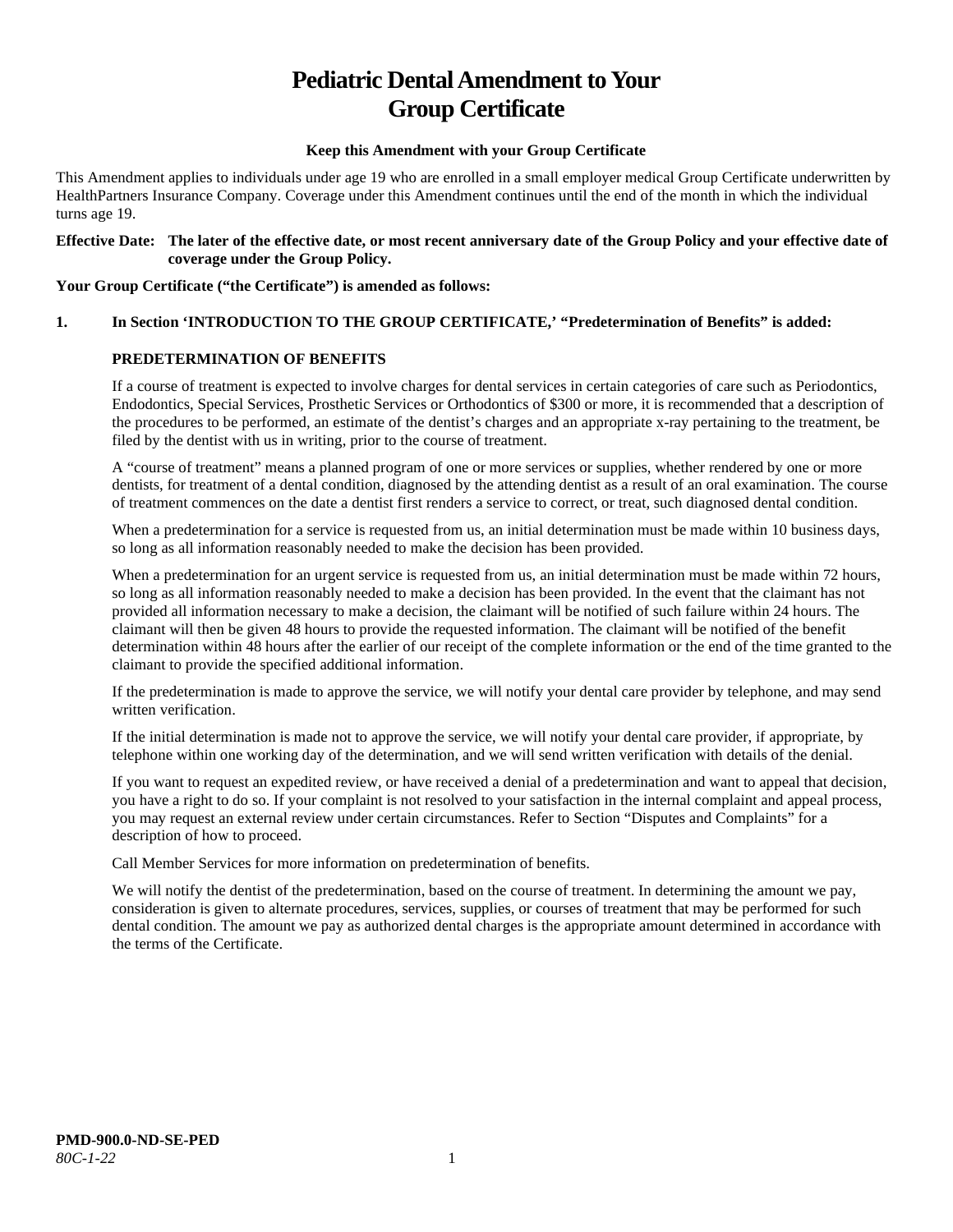# **Pediatric Dental Amendment to Your Group Certificate**

#### **Keep this Amendment with your Group Certificate**

This Amendment applies to individuals under age 19 who are enrolled in a small employer medical Group Certificate underwritten by HealthPartners Insurance Company. Coverage under this Amendment continues until the end of the month in which the individual turns age 19.

#### **Effective Date: The later of the effective date, or most recent anniversary date of the Group Policy and your effective date of coverage under the Group Policy.**

#### **Your Group Certificate ("the Certificate") is amended as follows:**

# **1. In Section 'INTRODUCTION TO THE GROUP CERTIFICATE,' "Predetermination of Benefits" is added:**

# **PREDETERMINATION OF BENEFITS**

If a course of treatment is expected to involve charges for dental services in certain categories of care such as Periodontics, Endodontics, Special Services, Prosthetic Services or Orthodontics of \$300 or more, it is recommended that a description of the procedures to be performed, an estimate of the dentist's charges and an appropriate x-ray pertaining to the treatment, be filed by the dentist with us in writing, prior to the course of treatment.

A "course of treatment" means a planned program of one or more services or supplies, whether rendered by one or more dentists, for treatment of a dental condition, diagnosed by the attending dentist as a result of an oral examination. The course of treatment commences on the date a dentist first renders a service to correct, or treat, such diagnosed dental condition.

When a predetermination for a service is requested from us, an initial determination must be made within 10 business days, so long as all information reasonably needed to make the decision has been provided.

When a predetermination for an urgent service is requested from us, an initial determination must be made within 72 hours, so long as all information reasonably needed to make a decision has been provided. In the event that the claimant has not provided all information necessary to make a decision, the claimant will be notified of such failure within 24 hours. The claimant will then be given 48 hours to provide the requested information. The claimant will be notified of the benefit determination within 48 hours after the earlier of our receipt of the complete information or the end of the time granted to the claimant to provide the specified additional information.

If the predetermination is made to approve the service, we will notify your dental care provider by telephone, and may send written verification.

If the initial determination is made not to approve the service, we will notify your dental care provider, if appropriate, by telephone within one working day of the determination, and we will send written verification with details of the denial.

If you want to request an expedited review, or have received a denial of a predetermination and want to appeal that decision, you have a right to do so. If your complaint is not resolved to your satisfaction in the internal complaint and appeal process, you may request an external review under certain circumstances. Refer to Section "Disputes and Complaints" for a description of how to proceed.

Call Member Services for more information on predetermination of benefits.

We will notify the dentist of the predetermination, based on the course of treatment. In determining the amount we pay, consideration is given to alternate procedures, services, supplies, or courses of treatment that may be performed for such dental condition. The amount we pay as authorized dental charges is the appropriate amount determined in accordance with the terms of the Certificate.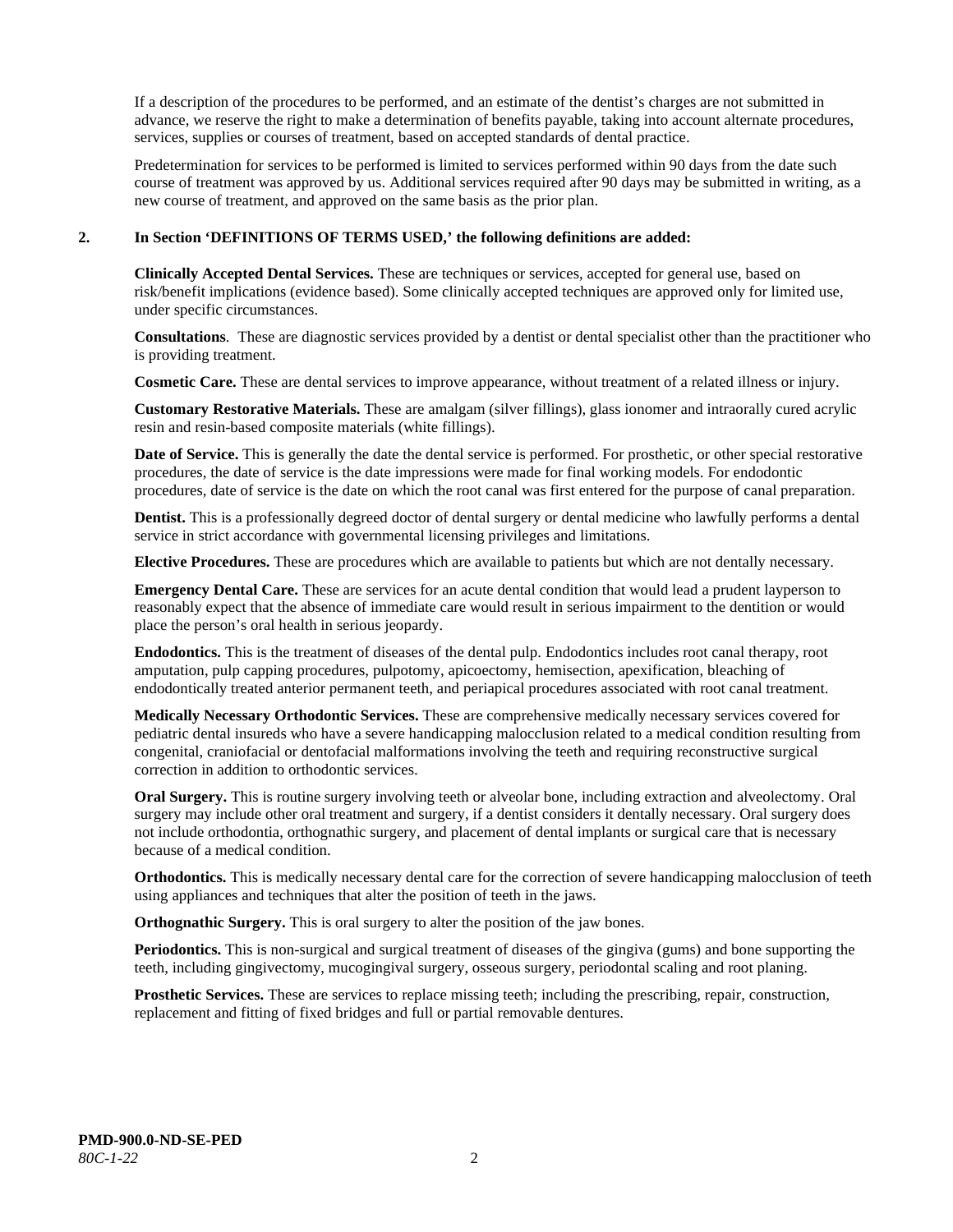If a description of the procedures to be performed, and an estimate of the dentist's charges are not submitted in advance, we reserve the right to make a determination of benefits payable, taking into account alternate procedures, services, supplies or courses of treatment, based on accepted standards of dental practice.

Predetermination for services to be performed is limited to services performed within 90 days from the date such course of treatment was approved by us. Additional services required after 90 days may be submitted in writing, as a new course of treatment, and approved on the same basis as the prior plan.

#### **2. In Section 'DEFINITIONS OF TERMS USED,' the following definitions are added:**

**Clinically Accepted Dental Services.** These are techniques or services, accepted for general use, based on risk/benefit implications (evidence based). Some clinically accepted techniques are approved only for limited use, under specific circumstances.

**Consultations**. These are diagnostic services provided by a dentist or dental specialist other than the practitioner who is providing treatment.

**Cosmetic Care.** These are dental services to improve appearance, without treatment of a related illness or injury.

**Customary Restorative Materials.** These are amalgam (silver fillings), glass ionomer and intraorally cured acrylic resin and resin-based composite materials (white fillings).

**Date of Service.** This is generally the date the dental service is performed. For prosthetic, or other special restorative procedures, the date of service is the date impressions were made for final working models. For endodontic procedures, date of service is the date on which the root canal was first entered for the purpose of canal preparation.

**Dentist.** This is a professionally degreed doctor of dental surgery or dental medicine who lawfully performs a dental service in strict accordance with governmental licensing privileges and limitations.

**Elective Procedures.** These are procedures which are available to patients but which are not dentally necessary.

**Emergency Dental Care.** These are services for an acute dental condition that would lead a prudent layperson to reasonably expect that the absence of immediate care would result in serious impairment to the dentition or would place the person's oral health in serious jeopardy.

**Endodontics.** This is the treatment of diseases of the dental pulp. Endodontics includes root canal therapy, root amputation, pulp capping procedures, pulpotomy, apicoectomy, hemisection, apexification, bleaching of endodontically treated anterior permanent teeth, and periapical procedures associated with root canal treatment.

**Medically Necessary Orthodontic Services.** These are comprehensive medically necessary services covered for pediatric dental insureds who have a severe handicapping malocclusion related to a medical condition resulting from congenital, craniofacial or dentofacial malformations involving the teeth and requiring reconstructive surgical correction in addition to orthodontic services.

**Oral Surgery.** This is routine surgery involving teeth or alveolar bone, including extraction and alveolectomy. Oral surgery may include other oral treatment and surgery, if a dentist considers it dentally necessary. Oral surgery does not include orthodontia, orthognathic surgery, and placement of dental implants or surgical care that is necessary because of a medical condition.

**Orthodontics.** This is medically necessary dental care for the correction of severe handicapping malocclusion of teeth using appliances and techniques that alter the position of teeth in the jaws.

**Orthognathic Surgery.** This is oral surgery to alter the position of the jaw bones.

**Periodontics.** This is non-surgical and surgical treatment of diseases of the gingiva (gums) and bone supporting the teeth, including gingivectomy, mucogingival surgery, osseous surgery, periodontal scaling and root planing.

**Prosthetic Services.** These are services to replace missing teeth; including the prescribing, repair, construction, replacement and fitting of fixed bridges and full or partial removable dentures.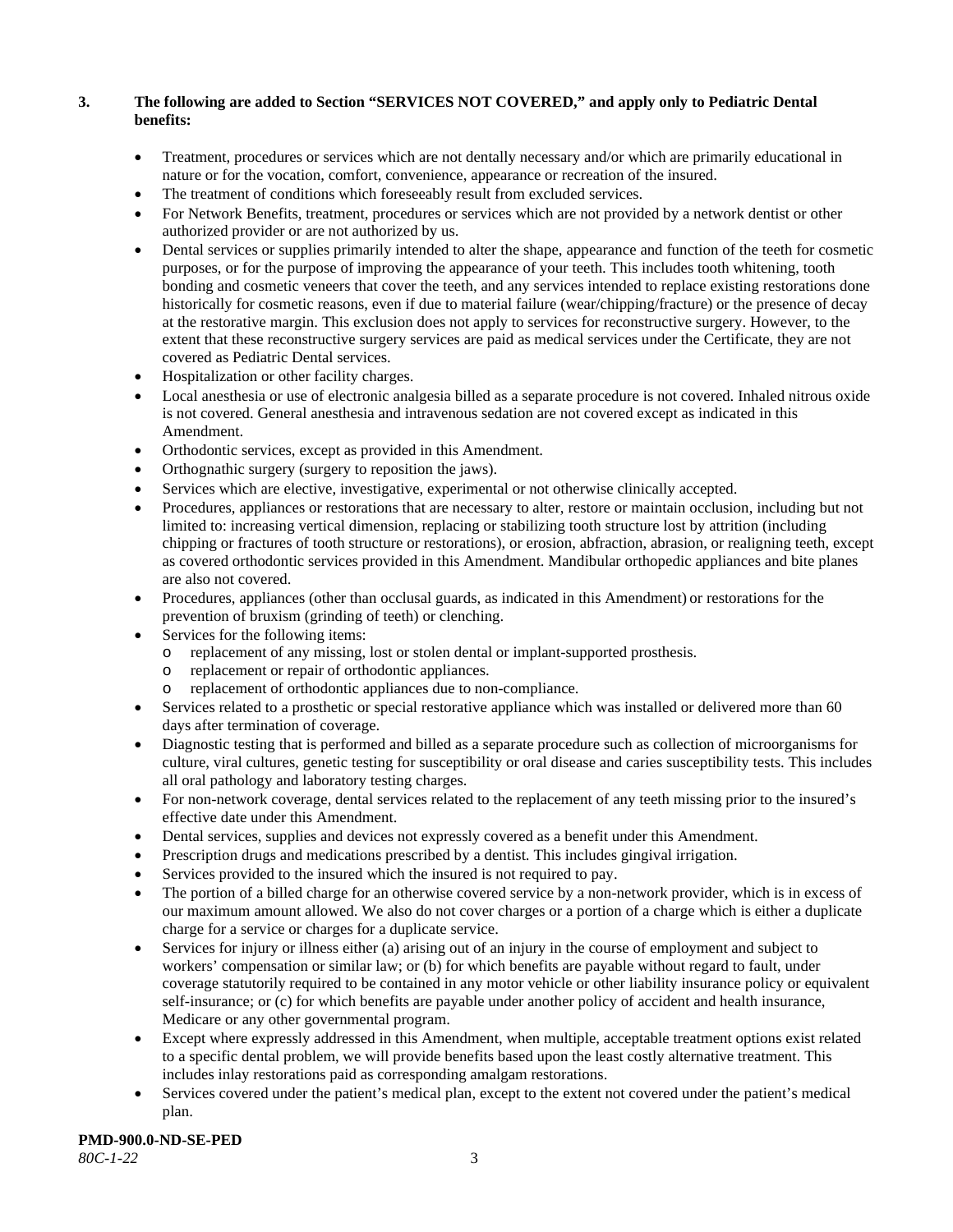# **3. The following are added to Section "SERVICES NOT COVERED," and apply only to Pediatric Dental benefits:**

- Treatment, procedures or services which are not dentally necessary and/or which are primarily educational in nature or for the vocation, comfort, convenience, appearance or recreation of the insured.
- The treatment of conditions which foreseeably result from excluded services.
- For Network Benefits, treatment, procedures or services which are not provided by a network dentist or other authorized provider or are not authorized by us.
- Dental services or supplies primarily intended to alter the shape, appearance and function of the teeth for cosmetic purposes, or for the purpose of improving the appearance of your teeth. This includes tooth whitening, tooth bonding and cosmetic veneers that cover the teeth, and any services intended to replace existing restorations done historically for cosmetic reasons, even if due to material failure (wear/chipping/fracture) or the presence of decay at the restorative margin. This exclusion does not apply to services for reconstructive surgery. However, to the extent that these reconstructive surgery services are paid as medical services under the Certificate, they are not covered as Pediatric Dental services.
- Hospitalization or other facility charges.
- Local anesthesia or use of electronic analgesia billed as a separate procedure is not covered. Inhaled nitrous oxide is not covered. General anesthesia and intravenous sedation are not covered except as indicated in this Amendment.
- Orthodontic services, except as provided in this Amendment.
- Orthognathic surgery (surgery to reposition the jaws).
- Services which are elective, investigative, experimental or not otherwise clinically accepted.
- Procedures, appliances or restorations that are necessary to alter, restore or maintain occlusion, including but not limited to: increasing vertical dimension, replacing or stabilizing tooth structure lost by attrition (including chipping or fractures of tooth structure or restorations), or erosion, abfraction, abrasion, or realigning teeth, except as covered orthodontic services provided in this Amendment. Mandibular orthopedic appliances and bite planes are also not covered.
- Procedures, appliances (other than occlusal guards, as indicated in this Amendment) or restorations for the prevention of bruxism (grinding of teeth) or clenching.
- Services for the following items:
	- o replacement of any missing, lost or stolen dental or implant-supported prosthesis.
	- o replacement or repair of orthodontic appliances.
	- replacement of orthodontic appliances due to non-compliance.
- Services related to a prosthetic or special restorative appliance which was installed or delivered more than 60 days after termination of coverage.
- Diagnostic testing that is performed and billed as a separate procedure such as collection of microorganisms for culture, viral cultures, genetic testing for susceptibility or oral disease and caries susceptibility tests. This includes all oral pathology and laboratory testing charges.
- For non-network coverage, dental services related to the replacement of any teeth missing prior to the insured's effective date under this Amendment.
- Dental services, supplies and devices not expressly covered as a benefit under this Amendment.
- Prescription drugs and medications prescribed by a dentist. This includes gingival irrigation.
- Services provided to the insured which the insured is not required to pay.
- The portion of a billed charge for an otherwise covered service by a non-network provider, which is in excess of our maximum amount allowed. We also do not cover charges or a portion of a charge which is either a duplicate charge for a service or charges for a duplicate service.
- Services for injury or illness either (a) arising out of an injury in the course of employment and subject to workers' compensation or similar law; or (b) for which benefits are payable without regard to fault, under coverage statutorily required to be contained in any motor vehicle or other liability insurance policy or equivalent self-insurance; or (c) for which benefits are payable under another policy of accident and health insurance, Medicare or any other governmental program.
- Except where expressly addressed in this Amendment, when multiple, acceptable treatment options exist related to a specific dental problem, we will provide benefits based upon the least costly alternative treatment. This includes inlay restorations paid as corresponding amalgam restorations.
- Services covered under the patient's medical plan, except to the extent not covered under the patient's medical plan.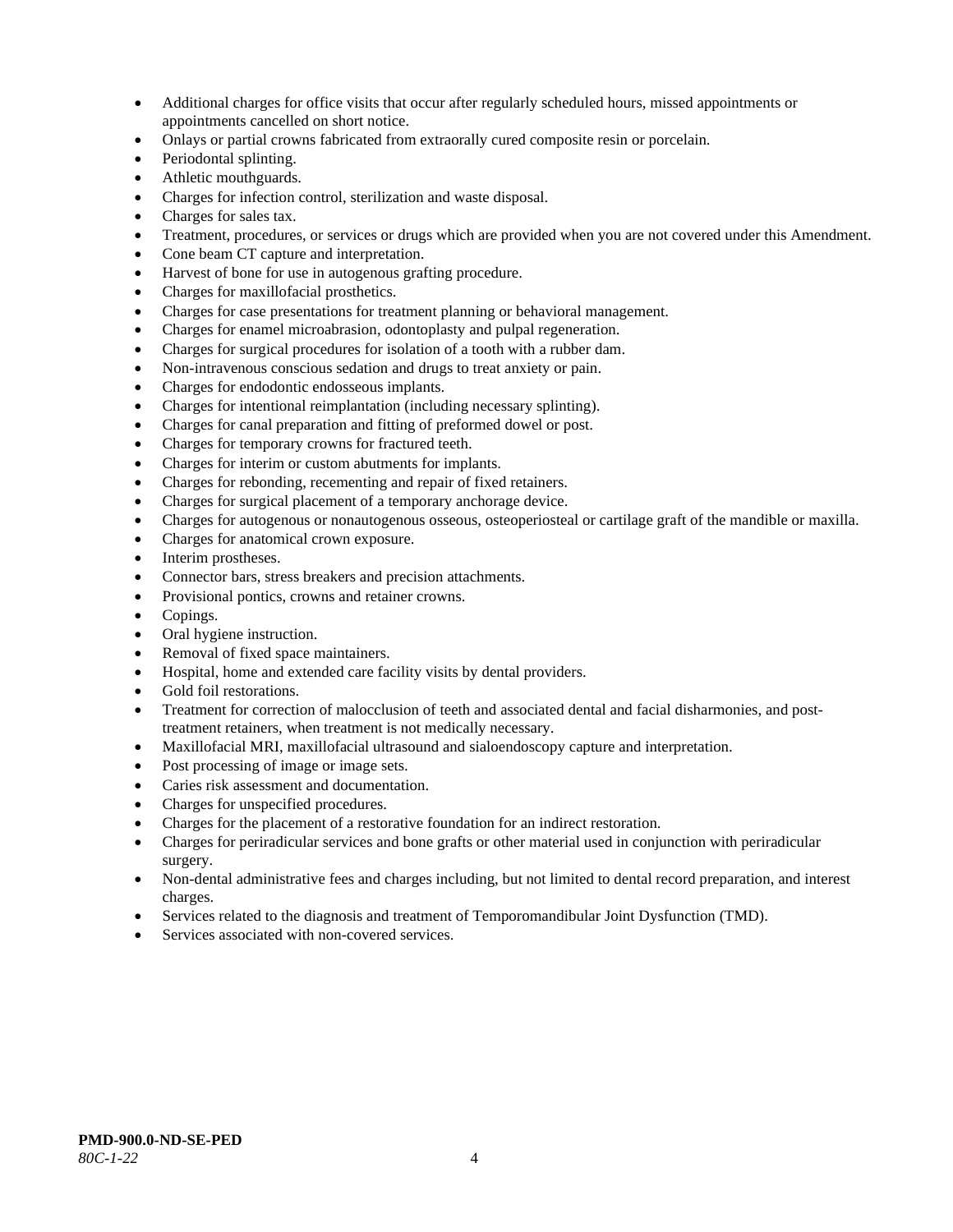- Additional charges for office visits that occur after regularly scheduled hours, missed appointments or appointments cancelled on short notice.
- Onlays or partial crowns fabricated from extraorally cured composite resin or porcelain.
- Periodontal splinting.
- Athletic mouthguards.
- Charges for infection control, sterilization and waste disposal.
- Charges for sales tax.
- Treatment, procedures, or services or drugs which are provided when you are not covered under this Amendment.
- Cone beam CT capture and interpretation.
- Harvest of bone for use in autogenous grafting procedure.
- Charges for maxillofacial prosthetics.
- Charges for case presentations for treatment planning or behavioral management.
- Charges for enamel microabrasion, odontoplasty and pulpal regeneration.
- Charges for surgical procedures for isolation of a tooth with a rubber dam.
- Non-intravenous conscious sedation and drugs to treat anxiety or pain.
- Charges for endodontic endosseous implants.
- Charges for intentional reimplantation (including necessary splinting).
- Charges for canal preparation and fitting of preformed dowel or post.
- Charges for temporary crowns for fractured teeth.
- Charges for interim or custom abutments for implants.
- Charges for rebonding, recementing and repair of fixed retainers.
- Charges for surgical placement of a temporary anchorage device.
- Charges for autogenous or nonautogenous osseous, osteoperiosteal or cartilage graft of the mandible or maxilla.
- Charges for anatomical crown exposure.
- Interim prostheses.
- Connector bars, stress breakers and precision attachments.
- Provisional pontics, crowns and retainer crowns.
- Copings.
- Oral hygiene instruction.
- Removal of fixed space maintainers.
- Hospital, home and extended care facility visits by dental providers.
- Gold foil restorations.
- Treatment for correction of malocclusion of teeth and associated dental and facial disharmonies, and posttreatment retainers, when treatment is not medically necessary.
- Maxillofacial MRI, maxillofacial ultrasound and sialoendoscopy capture and interpretation.
- Post processing of image or image sets.
- Caries risk assessment and documentation.
- Charges for unspecified procedures.
- Charges for the placement of a restorative foundation for an indirect restoration.
- Charges for periradicular services and bone grafts or other material used in conjunction with periradicular surgery.
- Non-dental administrative fees and charges including, but not limited to dental record preparation, and interest charges.
- Services related to the diagnosis and treatment of Temporomandibular Joint Dysfunction (TMD).
- Services associated with non-covered services.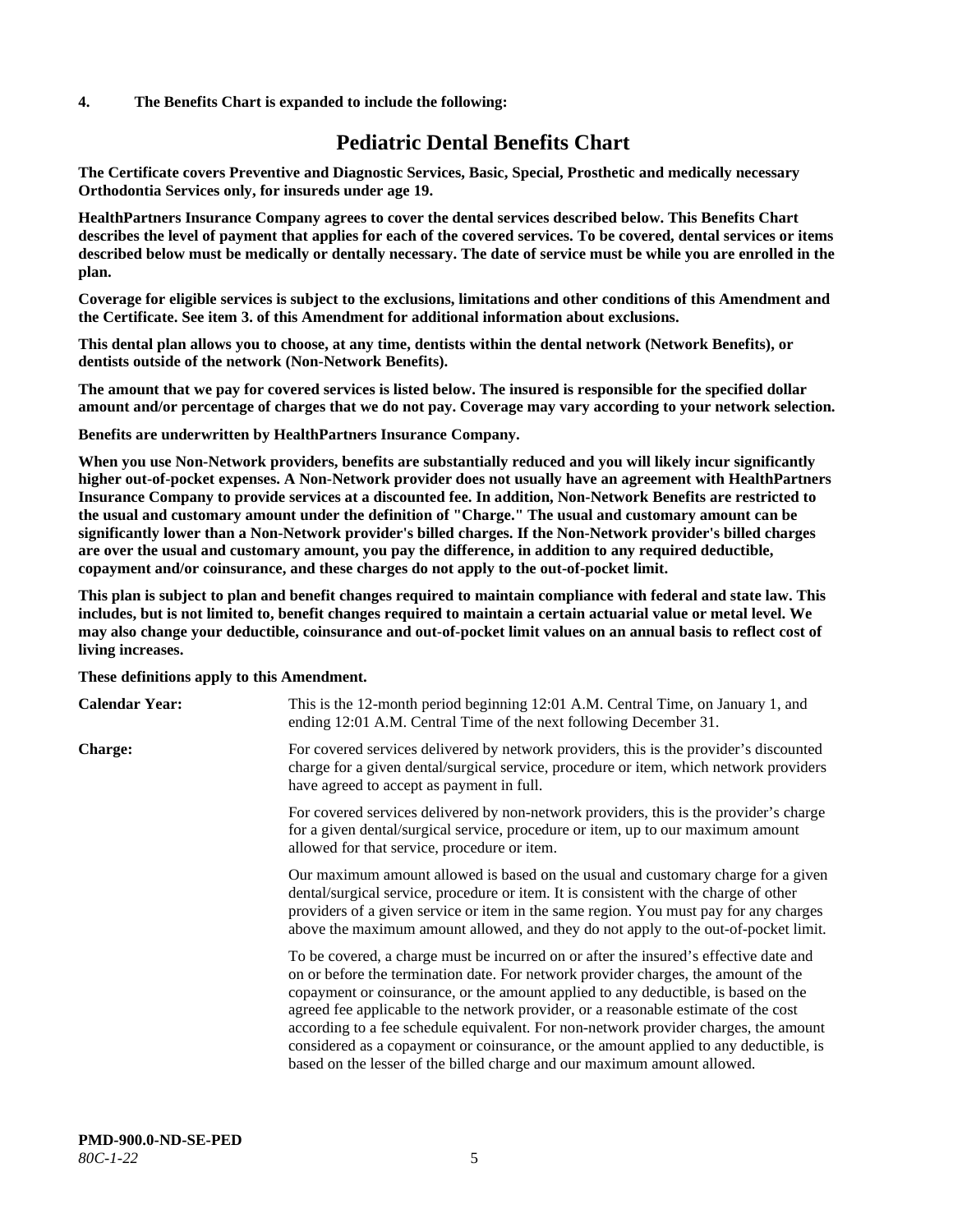#### **4. The Benefits Chart is expanded to include the following:**

# **Pediatric Dental Benefits Chart**

**The Certificate covers Preventive and Diagnostic Services, Basic, Special, Prosthetic and medically necessary Orthodontia Services only, for insureds under age 19.**

**HealthPartners Insurance Company agrees to cover the dental services described below. This Benefits Chart describes the level of payment that applies for each of the covered services. To be covered, dental services or items described below must be medically or dentally necessary. The date of service must be while you are enrolled in the plan.**

**Coverage for eligible services is subject to the exclusions, limitations and other conditions of this Amendment and the Certificate. See item 3. of this Amendment for additional information about exclusions.**

**This dental plan allows you to choose, at any time, dentists within the dental network (Network Benefits), or dentists outside of the network (Non-Network Benefits).**

**The amount that we pay for covered services is listed below. The insured is responsible for the specified dollar amount and/or percentage of charges that we do not pay. Coverage may vary according to your network selection.**

**Benefits are underwritten by HealthPartners Insurance Company.**

**When you use Non-Network providers, benefits are substantially reduced and you will likely incur significantly higher out-of-pocket expenses. A Non-Network provider does not usually have an agreement with HealthPartners Insurance Company to provide services at a discounted fee. In addition, Non-Network Benefits are restricted to the usual and customary amount under the definition of "Charge." The usual and customary amount can be significantly lower than a Non-Network provider's billed charges. If the Non-Network provider's billed charges are over the usual and customary amount, you pay the difference, in addition to any required deductible, copayment and/or coinsurance, and these charges do not apply to the out-of-pocket limit.**

**This plan is subject to plan and benefit changes required to maintain compliance with federal and state law. This includes, but is not limited to, benefit changes required to maintain a certain actuarial value or metal level. We may also change your deductible, coinsurance and out-of-pocket limit values on an annual basis to reflect cost of living increases.**

#### **These definitions apply to this Amendment.**

| <b>Calendar Year:</b> | This is the 12-month period beginning 12:01 A.M. Central Time, on January 1, and<br>ending 12:01 A.M. Central Time of the next following December 31.                                                                                                                                                                                                                                                                                                                                                                                                                                                                 |
|-----------------------|-----------------------------------------------------------------------------------------------------------------------------------------------------------------------------------------------------------------------------------------------------------------------------------------------------------------------------------------------------------------------------------------------------------------------------------------------------------------------------------------------------------------------------------------------------------------------------------------------------------------------|
| <b>Charge:</b>        | For covered services delivered by network providers, this is the provider's discounted<br>charge for a given dental/surgical service, procedure or item, which network providers<br>have agreed to accept as payment in full.                                                                                                                                                                                                                                                                                                                                                                                         |
|                       | For covered services delivered by non-network providers, this is the provider's charge<br>for a given dental/surgical service, procedure or item, up to our maximum amount<br>allowed for that service, procedure or item.                                                                                                                                                                                                                                                                                                                                                                                            |
|                       | Our maximum amount allowed is based on the usual and customary charge for a given<br>dental/surgical service, procedure or item. It is consistent with the charge of other<br>providers of a given service or item in the same region. You must pay for any charges<br>above the maximum amount allowed, and they do not apply to the out-of-pocket limit.                                                                                                                                                                                                                                                            |
|                       | To be covered, a charge must be incurred on or after the insured's effective date and<br>on or before the termination date. For network provider charges, the amount of the<br>copayment or coinsurance, or the amount applied to any deductible, is based on the<br>agreed fee applicable to the network provider, or a reasonable estimate of the cost<br>according to a fee schedule equivalent. For non-network provider charges, the amount<br>considered as a copayment or coinsurance, or the amount applied to any deductible, is<br>based on the lesser of the billed charge and our maximum amount allowed. |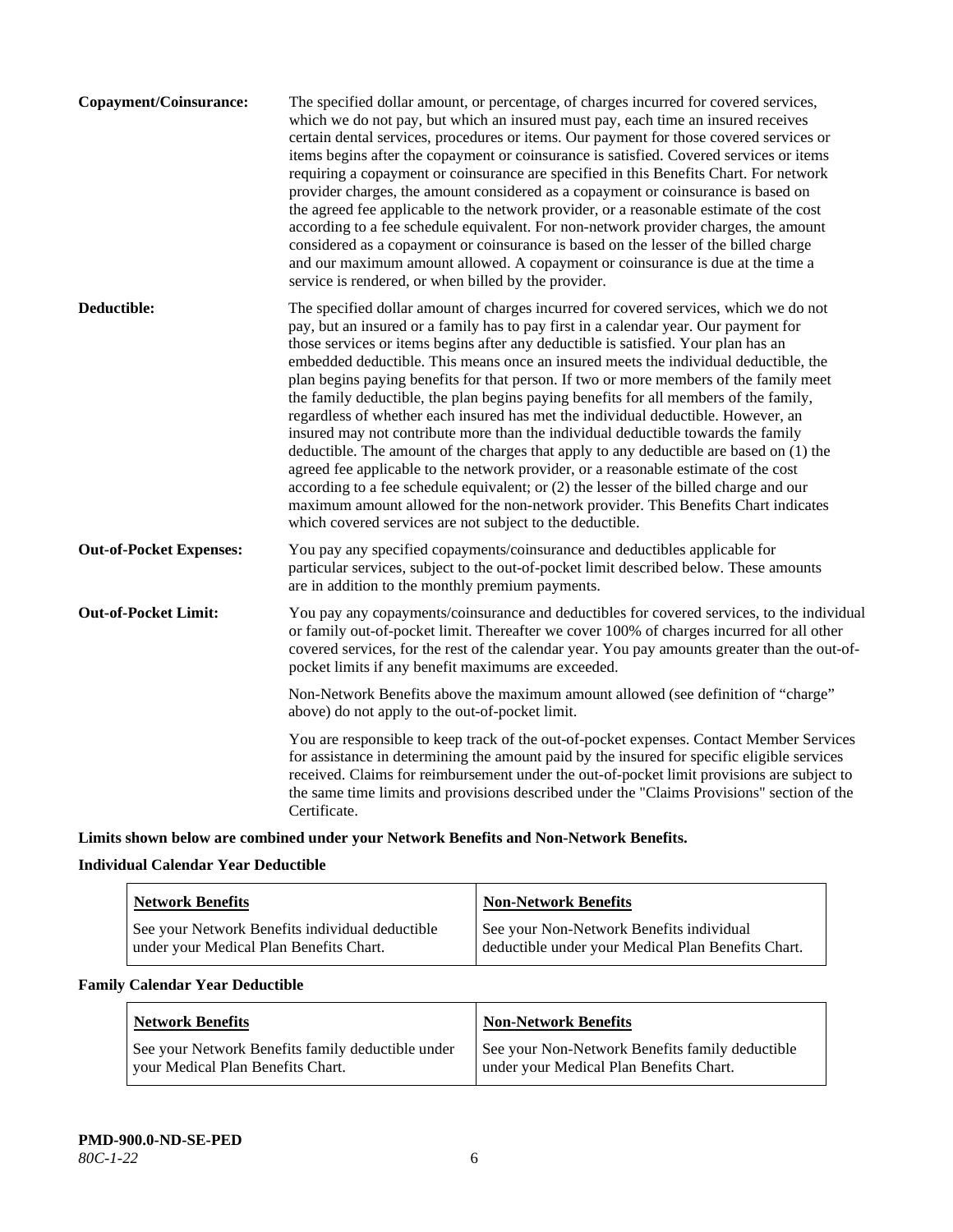| which we do not pay, but which an insured must pay, each time an insured receives<br>certain dental services, procedures or items. Our payment for those covered services or<br>items begins after the copayment or coinsurance is satisfied. Covered services or items<br>requiring a copayment or coinsurance are specified in this Benefits Chart. For network<br>provider charges, the amount considered as a copayment or coinsurance is based on<br>the agreed fee applicable to the network provider, or a reasonable estimate of the cost<br>according to a fee schedule equivalent. For non-network provider charges, the amount<br>considered as a copayment or coinsurance is based on the lesser of the billed charge<br>and our maximum amount allowed. A copayment or coinsurance is due at the time a<br>service is rendered, or when billed by the provider.                                                                                                                                                                                                                                                                                           |  |
|------------------------------------------------------------------------------------------------------------------------------------------------------------------------------------------------------------------------------------------------------------------------------------------------------------------------------------------------------------------------------------------------------------------------------------------------------------------------------------------------------------------------------------------------------------------------------------------------------------------------------------------------------------------------------------------------------------------------------------------------------------------------------------------------------------------------------------------------------------------------------------------------------------------------------------------------------------------------------------------------------------------------------------------------------------------------------------------------------------------------------------------------------------------------|--|
| Deductible:<br>The specified dollar amount of charges incurred for covered services, which we do not<br>pay, but an insured or a family has to pay first in a calendar year. Our payment for<br>those services or items begins after any deductible is satisfied. Your plan has an<br>embedded deductible. This means once an insured meets the individual deductible, the<br>plan begins paying benefits for that person. If two or more members of the family meet<br>the family deductible, the plan begins paying benefits for all members of the family,<br>regardless of whether each insured has met the individual deductible. However, an<br>insured may not contribute more than the individual deductible towards the family<br>deductible. The amount of the charges that apply to any deductible are based on (1) the<br>agreed fee applicable to the network provider, or a reasonable estimate of the cost<br>according to a fee schedule equivalent; or (2) the lesser of the billed charge and our<br>maximum amount allowed for the non-network provider. This Benefits Chart indicates<br>which covered services are not subject to the deductible. |  |
| <b>Out-of-Pocket Expenses:</b><br>You pay any specified copayments/coinsurance and deductibles applicable for<br>particular services, subject to the out-of-pocket limit described below. These amounts<br>are in addition to the monthly premium payments.                                                                                                                                                                                                                                                                                                                                                                                                                                                                                                                                                                                                                                                                                                                                                                                                                                                                                                            |  |
| <b>Out-of-Pocket Limit:</b><br>You pay any copayments/coinsurance and deductibles for covered services, to the individual<br>or family out-of-pocket limit. Thereafter we cover 100% of charges incurred for all other<br>covered services, for the rest of the calendar year. You pay amounts greater than the out-of-<br>pocket limits if any benefit maximums are exceeded.                                                                                                                                                                                                                                                                                                                                                                                                                                                                                                                                                                                                                                                                                                                                                                                         |  |
| Non-Network Benefits above the maximum amount allowed (see definition of "charge"<br>above) do not apply to the out-of-pocket limit.                                                                                                                                                                                                                                                                                                                                                                                                                                                                                                                                                                                                                                                                                                                                                                                                                                                                                                                                                                                                                                   |  |
| You are responsible to keep track of the out-of-pocket expenses. Contact Member Services<br>for assistance in determining the amount paid by the insured for specific eligible services<br>received. Claims for reimbursement under the out-of-pocket limit provisions are subject to<br>the same time limits and provisions described under the "Claims Provisions" section of the<br>Certificate.                                                                                                                                                                                                                                                                                                                                                                                                                                                                                                                                                                                                                                                                                                                                                                    |  |

**Limits shown below are combined under your Network Benefits and Non-Network Benefits.**

# **Individual Calendar Year Deductible**

| <b>Network Benefits</b>                                                                    | <b>Non-Network Benefits</b>                                                                    |
|--------------------------------------------------------------------------------------------|------------------------------------------------------------------------------------------------|
| See your Network Benefits individual deductible<br>under your Medical Plan Benefits Chart. | See your Non-Network Benefits individual<br>deductible under your Medical Plan Benefits Chart. |

# **Family Calendar Year Deductible**

| <b>Network Benefits</b>                           | <b>Non-Network Benefits</b>                     |
|---------------------------------------------------|-------------------------------------------------|
| See your Network Benefits family deductible under | See your Non-Network Benefits family deductible |
| vour Medical Plan Benefits Chart.                 | under your Medical Plan Benefits Chart.         |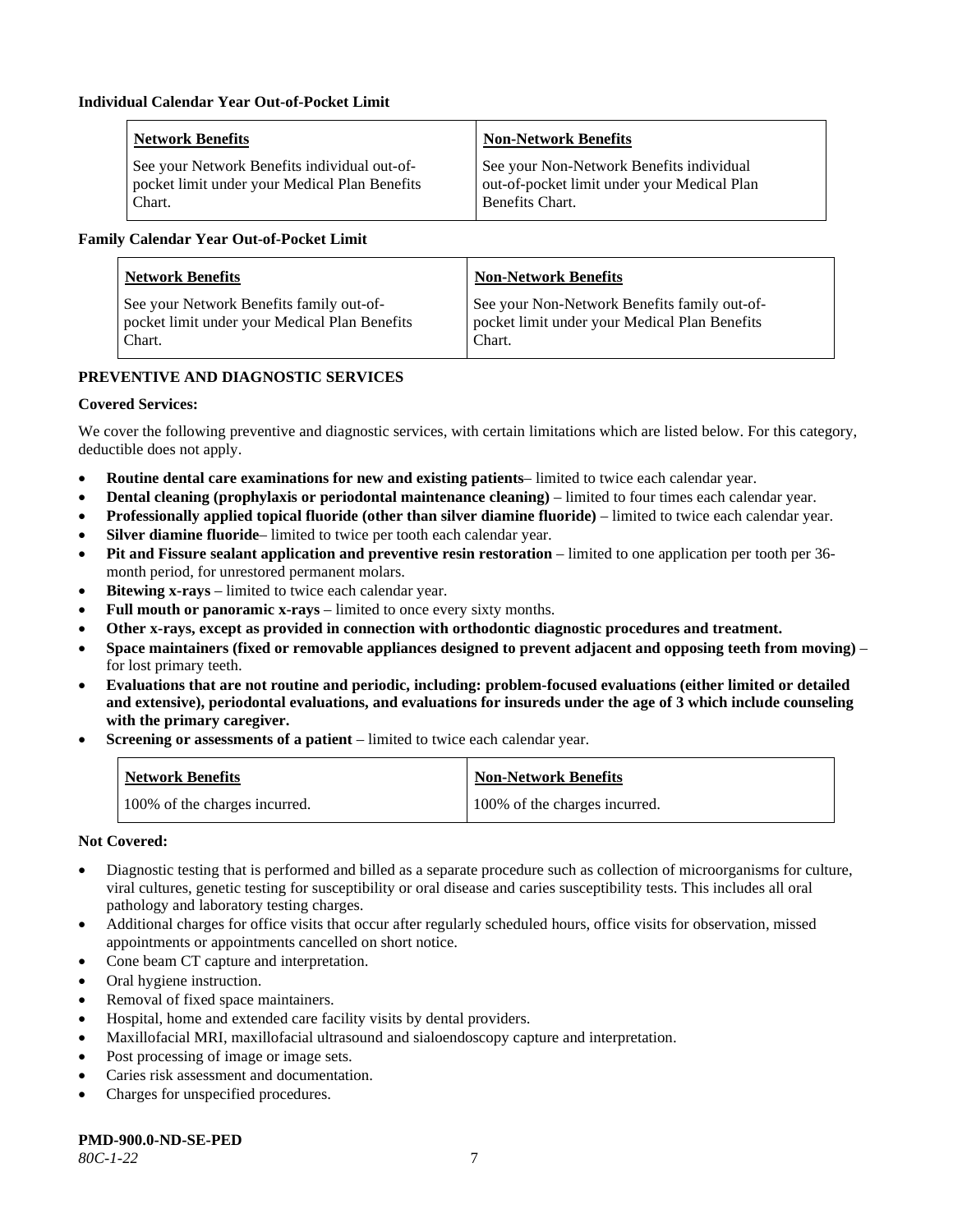| <b>Network Benefits</b>                       | <b>Non-Network Benefits</b>                 |
|-----------------------------------------------|---------------------------------------------|
| See your Network Benefits individual out-of-  | See your Non-Network Benefits individual    |
| pocket limit under your Medical Plan Benefits | out-of-pocket limit under your Medical Plan |
| Chart.                                        | Benefits Chart.                             |

#### **Family Calendar Year Out-of-Pocket Limit**

| <b>Network Benefits</b>                       | <b>Non-Network Benefits</b>                   |
|-----------------------------------------------|-----------------------------------------------|
| See your Network Benefits family out-of-      | See your Non-Network Benefits family out-of-  |
| pocket limit under your Medical Plan Benefits | pocket limit under your Medical Plan Benefits |
| Chart.                                        | Chart.                                        |

# **PREVENTIVE AND DIAGNOSTIC SERVICES**

#### **Covered Services:**

We cover the following preventive and diagnostic services, with certain limitations which are listed below. For this category, deductible does not apply.

- **Routine dental care examinations for new and existing patients** limited to twice each calendar year.
- **Dental cleaning (prophylaxis or periodontal maintenance cleaning)** limited to four times each calendar year.
- **Professionally applied topical fluoride (other than silver diamine fluoride)** limited to twice each calendar year.
- **Silver diamine fluoride** limited to twice per tooth each calendar year.
- **Pit and Fissure sealant application and preventive resin restoration** limited to one application per tooth per 36 month period, for unrestored permanent molars.
- **Bitewing x-rays** limited to twice each calendar year.
- **Full mouth or panoramic x-rays** limited to once every sixty months.
- **Other x-rays, except as provided in connection with orthodontic diagnostic procedures and treatment.**
- **Space maintainers (fixed or removable appliances designed to prevent adjacent and opposing teeth from moving)** for lost primary teeth.
- **Evaluations that are not routine and periodic, including: problem-focused evaluations (either limited or detailed and extensive), periodontal evaluations, and evaluations for insureds under the age of 3 which include counseling with the primary caregiver.**
- **Screening or assessments of a patient** limited to twice each calendar year.

| <b>Network Benefits</b>       | <b>Non-Network Benefits</b>   |
|-------------------------------|-------------------------------|
| 100% of the charges incurred. | 100% of the charges incurred. |

#### **Not Covered:**

- Diagnostic testing that is performed and billed as a separate procedure such as collection of microorganisms for culture, viral cultures, genetic testing for susceptibility or oral disease and caries susceptibility tests. This includes all oral pathology and laboratory testing charges.
- Additional charges for office visits that occur after regularly scheduled hours, office visits for observation, missed appointments or appointments cancelled on short notice.
- Cone beam CT capture and interpretation.
- Oral hygiene instruction.
- Removal of fixed space maintainers.
- Hospital, home and extended care facility visits by dental providers.
- Maxillofacial MRI, maxillofacial ultrasound and sialoendoscopy capture and interpretation.
- Post processing of image or image sets.
- Caries risk assessment and documentation.
- Charges for unspecified procedures.

**PMD-900.0-ND-SE-PED**

*80C-1-22* 7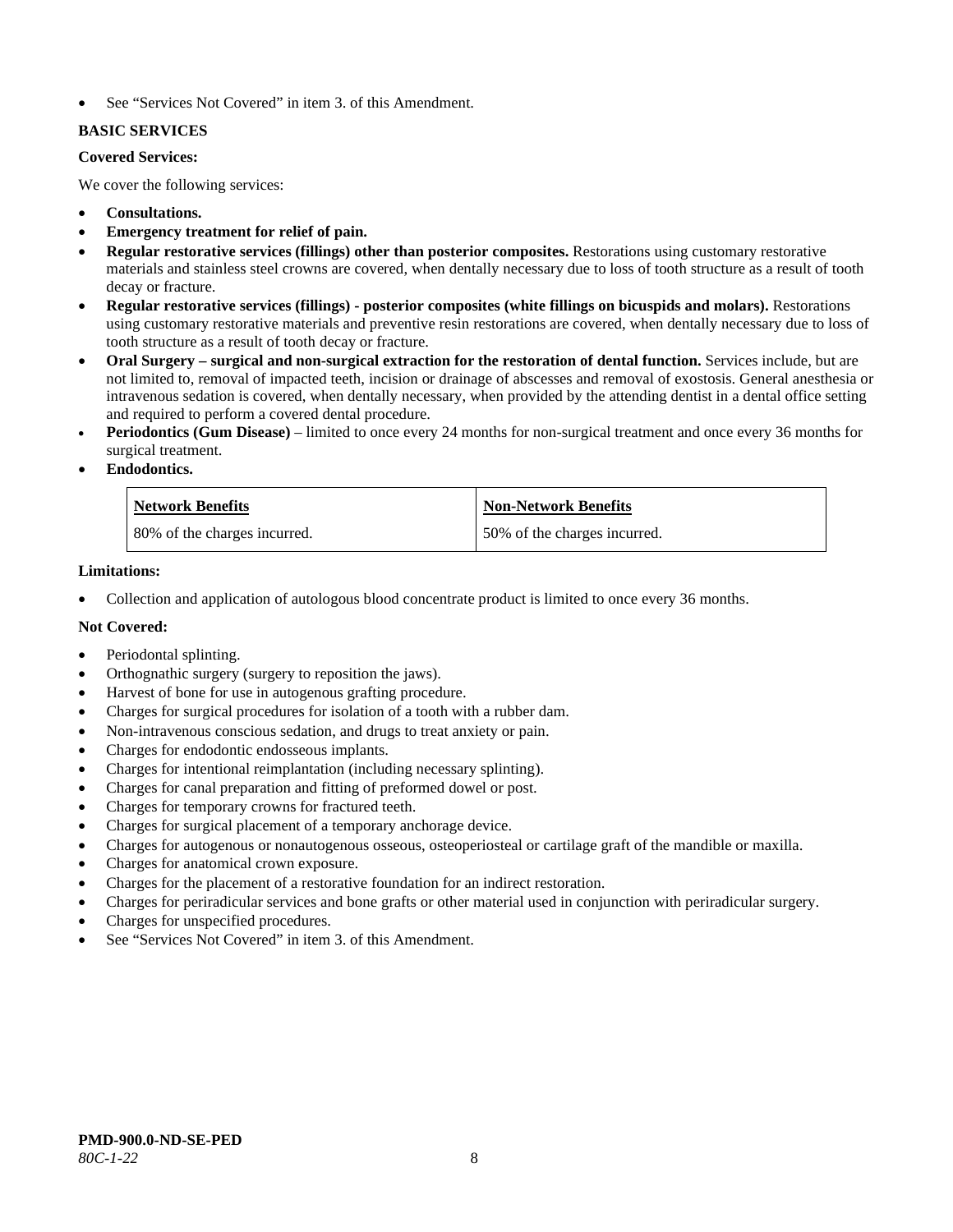See "Services Not Covered" in item 3. of this Amendment.

# **BASIC SERVICES**

# **Covered Services:**

We cover the following services:

- **Consultations.**
- **Emergency treatment for relief of pain.**
- **Regular restorative services (fillings) other than posterior composites.** Restorations using customary restorative materials and stainless steel crowns are covered, when dentally necessary due to loss of tooth structure as a result of tooth decay or fracture.
- **Regular restorative services (fillings) - posterior composites (white fillings on bicuspids and molars).** Restorations using customary restorative materials and preventive resin restorations are covered, when dentally necessary due to loss of tooth structure as a result of tooth decay or fracture.
- **Oral Surgery – surgical and non-surgical extraction for the restoration of dental function.** Services include, but are not limited to, removal of impacted teeth, incision or drainage of abscesses and removal of exostosis. General anesthesia or intravenous sedation is covered, when dentally necessary, when provided by the attending dentist in a dental office setting and required to perform a covered dental procedure.
- **Periodontics (Gum Disease)** limited to once every 24 months for non-surgical treatment and once every 36 months for surgical treatment.
- **Endodontics.**

| <b>Network Benefits</b>      | <b>Non-Network Benefits</b>  |
|------------------------------|------------------------------|
| 80% of the charges incurred. | 50% of the charges incurred. |

# **Limitations:**

• Collection and application of autologous blood concentrate product is limited to once every 36 months.

# **Not Covered:**

- Periodontal splinting.
- Orthognathic surgery (surgery to reposition the jaws).
- Harvest of bone for use in autogenous grafting procedure.
- Charges for surgical procedures for isolation of a tooth with a rubber dam.
- Non-intravenous conscious sedation, and drugs to treat anxiety or pain.
- Charges for endodontic endosseous implants.
- Charges for intentional reimplantation (including necessary splinting).
- Charges for canal preparation and fitting of preformed dowel or post.
- Charges for temporary crowns for fractured teeth.
- Charges for surgical placement of a temporary anchorage device.
- Charges for autogenous or nonautogenous osseous, osteoperiosteal or cartilage graft of the mandible or maxilla.
- Charges for anatomical crown exposure.
- Charges for the placement of a restorative foundation for an indirect restoration.
- Charges for periradicular services and bone grafts or other material used in conjunction with periradicular surgery.
- Charges for unspecified procedures.
- See "Services Not Covered" in item 3. of this Amendment.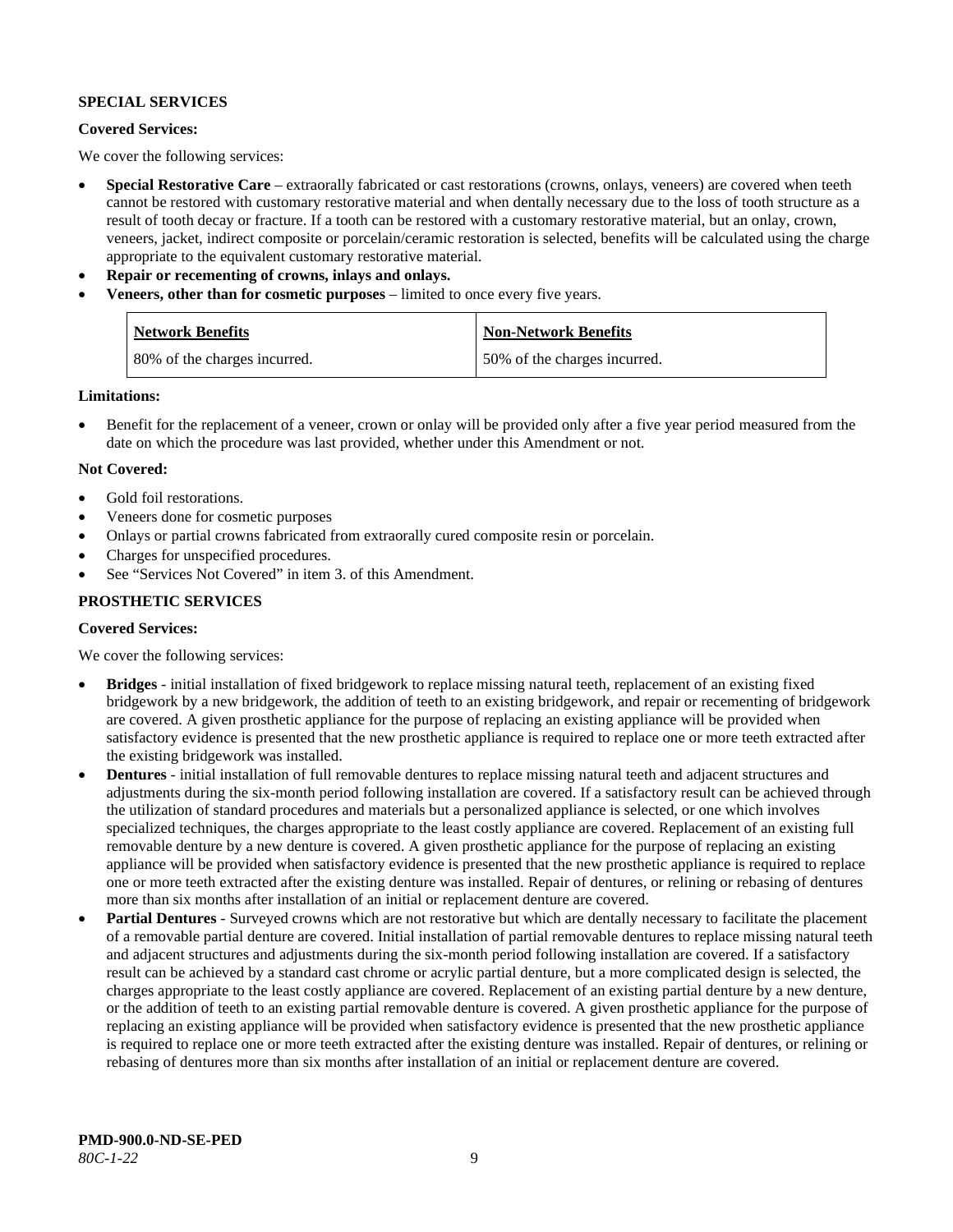#### **SPECIAL SERVICES**

#### **Covered Services:**

We cover the following services:

- **Special Restorative Care** extraorally fabricated or cast restorations (crowns, onlays, veneers) are covered when teeth cannot be restored with customary restorative material and when dentally necessary due to the loss of tooth structure as a result of tooth decay or fracture. If a tooth can be restored with a customary restorative material, but an onlay, crown, veneers, jacket, indirect composite or porcelain/ceramic restoration is selected, benefits will be calculated using the charge appropriate to the equivalent customary restorative material.
- **Repair or recementing of crowns, inlays and onlays.**
- **Veneers, other than for cosmetic purposes** limited to once every five years.

| <b>Network Benefits</b>      | <b>Non-Network Benefits</b>  |
|------------------------------|------------------------------|
| 80% of the charges incurred. | 50% of the charges incurred. |

#### **Limitations:**

• Benefit for the replacement of a veneer, crown or onlay will be provided only after a five year period measured from the date on which the procedure was last provided, whether under this Amendment or not.

#### **Not Covered:**

- Gold foil restorations.
- Veneers done for cosmetic purposes
- Onlays or partial crowns fabricated from extraorally cured composite resin or porcelain.
- Charges for unspecified procedures.
- See "Services Not Covered" in item 3. of this Amendment.

# **PROSTHETIC SERVICES**

#### **Covered Services:**

We cover the following services:

- **Bridges** initial installation of fixed bridgework to replace missing natural teeth, replacement of an existing fixed bridgework by a new bridgework, the addition of teeth to an existing bridgework, and repair or recementing of bridgework are covered. A given prosthetic appliance for the purpose of replacing an existing appliance will be provided when satisfactory evidence is presented that the new prosthetic appliance is required to replace one or more teeth extracted after the existing bridgework was installed.
- **Dentures** initial installation of full removable dentures to replace missing natural teeth and adjacent structures and adjustments during the six-month period following installation are covered. If a satisfactory result can be achieved through the utilization of standard procedures and materials but a personalized appliance is selected, or one which involves specialized techniques, the charges appropriate to the least costly appliance are covered. Replacement of an existing full removable denture by a new denture is covered. A given prosthetic appliance for the purpose of replacing an existing appliance will be provided when satisfactory evidence is presented that the new prosthetic appliance is required to replace one or more teeth extracted after the existing denture was installed. Repair of dentures, or relining or rebasing of dentures more than six months after installation of an initial or replacement denture are covered.
- **Partial Dentures** Surveyed crowns which are not restorative but which are dentally necessary to facilitate the placement of a removable partial denture are covered. Initial installation of partial removable dentures to replace missing natural teeth and adjacent structures and adjustments during the six-month period following installation are covered. If a satisfactory result can be achieved by a standard cast chrome or acrylic partial denture, but a more complicated design is selected, the charges appropriate to the least costly appliance are covered. Replacement of an existing partial denture by a new denture, or the addition of teeth to an existing partial removable denture is covered. A given prosthetic appliance for the purpose of replacing an existing appliance will be provided when satisfactory evidence is presented that the new prosthetic appliance is required to replace one or more teeth extracted after the existing denture was installed. Repair of dentures, or relining or rebasing of dentures more than six months after installation of an initial or replacement denture are covered.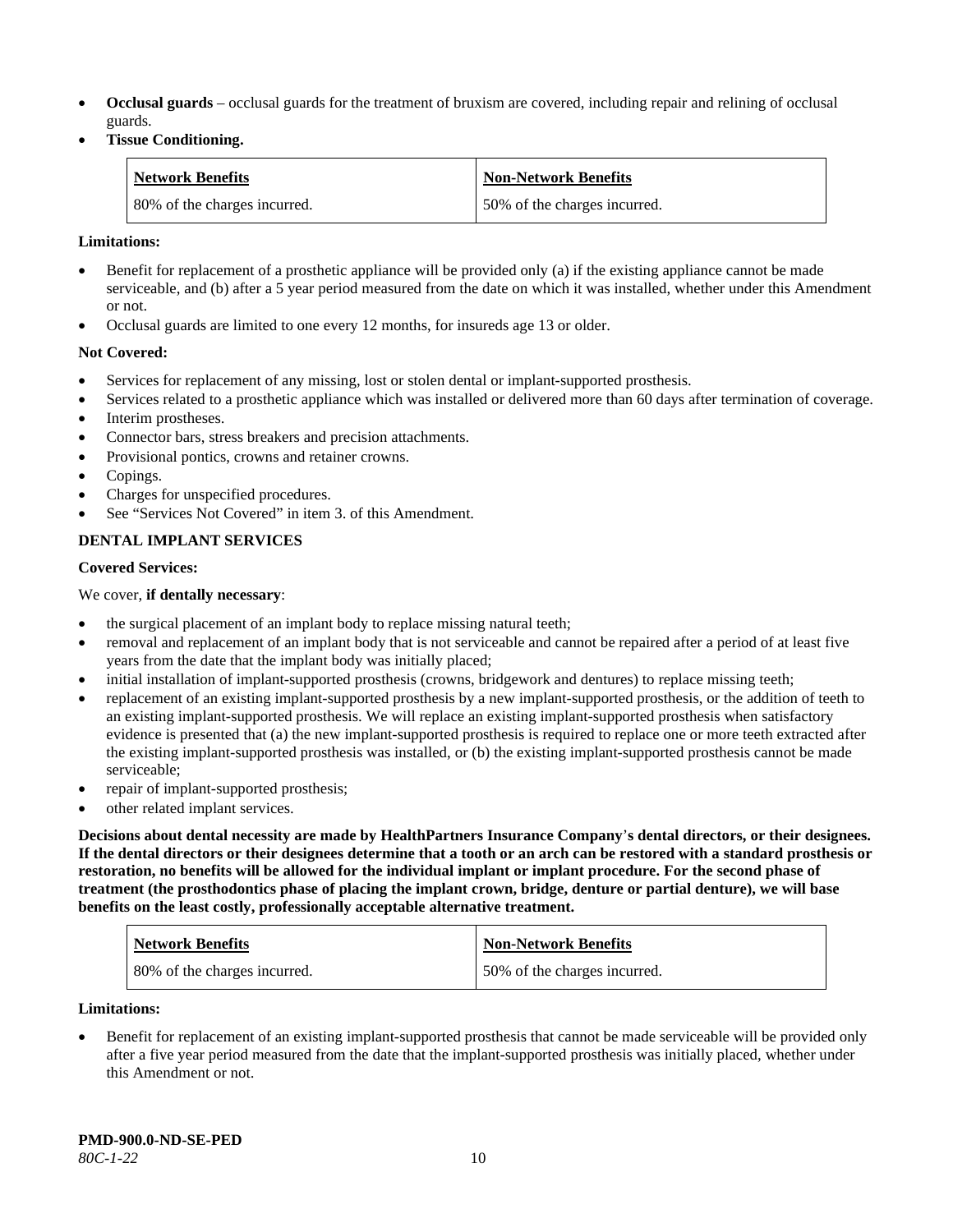- **Occlusal guards** occlusal guards for the treatment of bruxism are covered, including repair and relining of occlusal guards.
- **Tissue Conditioning.**

| <b>Network Benefits</b>      | <b>Non-Network Benefits</b>  |
|------------------------------|------------------------------|
| 80% of the charges incurred. | 50% of the charges incurred. |

#### **Limitations:**

- Benefit for replacement of a prosthetic appliance will be provided only (a) if the existing appliance cannot be made serviceable, and (b) after a 5 year period measured from the date on which it was installed, whether under this Amendment or not.
- Occlusal guards are limited to one every 12 months, for insureds age 13 or older.

#### **Not Covered:**

- Services for replacement of any missing, lost or stolen dental or implant-supported prosthesis.
- Services related to a prosthetic appliance which was installed or delivered more than 60 days after termination of coverage. Interim prostheses.
- Connector bars, stress breakers and precision attachments.
- Provisional pontics, crowns and retainer crowns.
- Copings.
- Charges for unspecified procedures.
- See "Services Not Covered" in item 3. of this Amendment.

# **DENTAL IMPLANT SERVICES**

#### **Covered Services:**

#### We cover, **if dentally necessary**:

- the surgical placement of an implant body to replace missing natural teeth;
- removal and replacement of an implant body that is not serviceable and cannot be repaired after a period of at least five years from the date that the implant body was initially placed;
- initial installation of implant-supported prosthesis (crowns, bridgework and dentures) to replace missing teeth;
- replacement of an existing implant-supported prosthesis by a new implant-supported prosthesis, or the addition of teeth to an existing implant-supported prosthesis. We will replace an existing implant-supported prosthesis when satisfactory evidence is presented that (a) the new implant-supported prosthesis is required to replace one or more teeth extracted after the existing implant-supported prosthesis was installed, or (b) the existing implant-supported prosthesis cannot be made serviceable;
- repair of implant-supported prosthesis;
- other related implant services.

**Decisions about dental necessity are made by HealthPartners Insurance Company**'**s dental directors, or their designees. If the dental directors or their designees determine that a tooth or an arch can be restored with a standard prosthesis or restoration, no benefits will be allowed for the individual implant or implant procedure. For the second phase of treatment (the prosthodontics phase of placing the implant crown, bridge, denture or partial denture), we will base benefits on the least costly, professionally acceptable alternative treatment.**

| <b>Network Benefits</b>      | <b>Non-Network Benefits</b>  |
|------------------------------|------------------------------|
| 80% of the charges incurred. | 50% of the charges incurred. |

#### **Limitations:**

• Benefit for replacement of an existing implant-supported prosthesis that cannot be made serviceable will be provided only after a five year period measured from the date that the implant-supported prosthesis was initially placed, whether under this Amendment or not.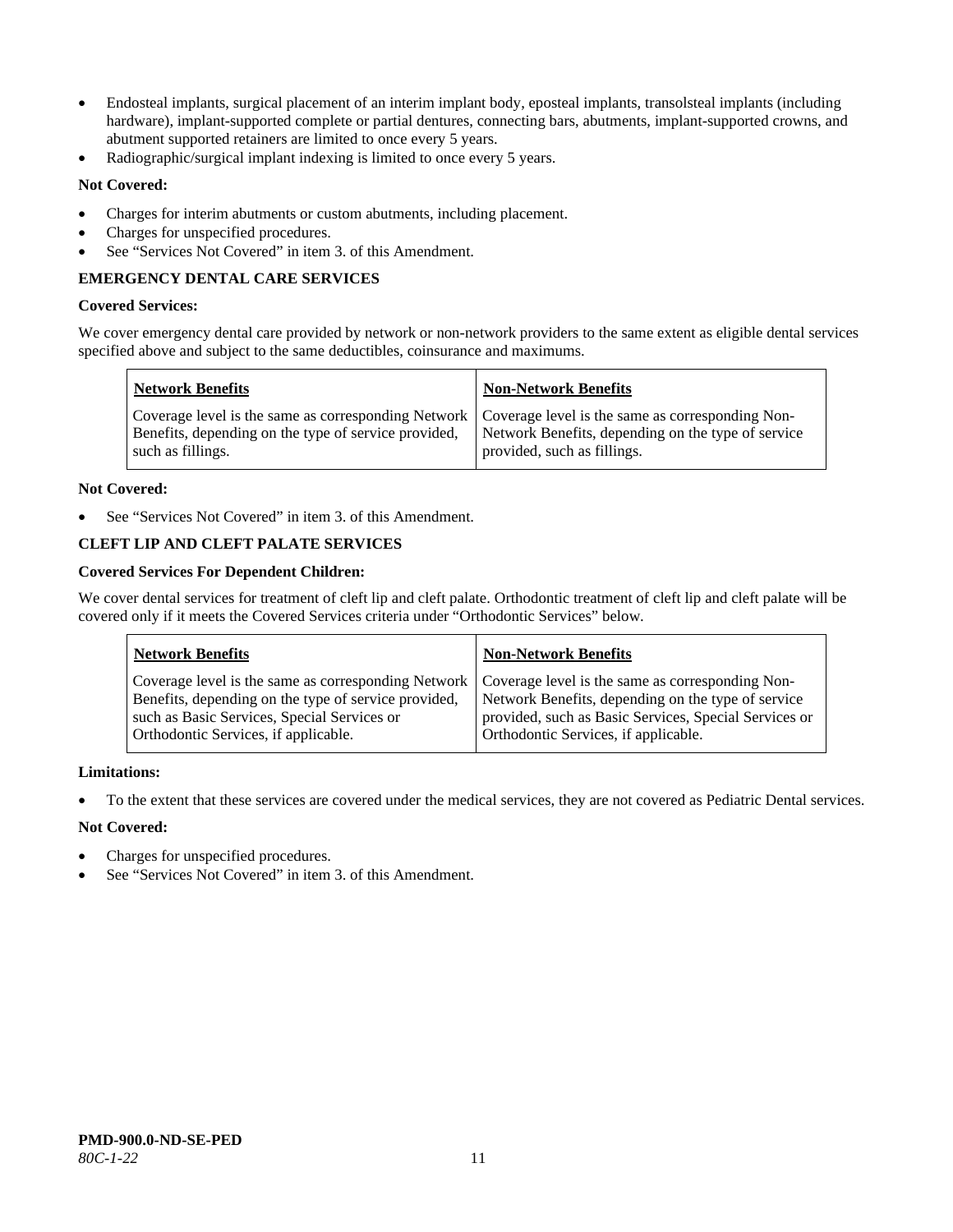- Endosteal implants, surgical placement of an interim implant body, eposteal implants, transolsteal implants (including hardware), implant-supported complete or partial dentures, connecting bars, abutments, implant-supported crowns, and abutment supported retainers are limited to once every 5 years.
- Radiographic/surgical implant indexing is limited to once every 5 years.

# **Not Covered:**

- Charges for interim abutments or custom abutments, including placement.
- Charges for unspecified procedures.
- See "Services Not Covered" in item 3. of this Amendment.

# **EMERGENCY DENTAL CARE SERVICES**

#### **Covered Services:**

We cover emergency dental care provided by network or non-network providers to the same extent as eligible dental services specified above and subject to the same deductibles, coinsurance and maximums.

| <b>Network Benefits</b>                                                                                                                                                             | <b>Non-Network Benefits</b>                                                       |
|-------------------------------------------------------------------------------------------------------------------------------------------------------------------------------------|-----------------------------------------------------------------------------------|
| Coverage level is the same as corresponding Network   Coverage level is the same as corresponding Non-<br>Benefits, depending on the type of service provided,<br>such as fillings. | Network Benefits, depending on the type of service<br>provided, such as fillings. |

#### **Not Covered:**

See "Services Not Covered" in item 3. of this Amendment.

# **CLEFT LIP AND CLEFT PALATE SERVICES**

# **Covered Services For Dependent Children:**

We cover dental services for treatment of cleft lip and cleft palate. Orthodontic treatment of cleft lip and cleft palate will be covered only if it meets the Covered Services criteria under "Orthodontic Services" below.

| <b>Network Benefits</b>                              | <b>Non-Network Benefits</b>                           |
|------------------------------------------------------|-------------------------------------------------------|
| Coverage level is the same as corresponding Network  | Coverage level is the same as corresponding Non-      |
| Benefits, depending on the type of service provided, | Network Benefits, depending on the type of service    |
| such as Basic Services, Special Services or          | provided, such as Basic Services, Special Services or |
| Orthodontic Services, if applicable.                 | Orthodontic Services, if applicable.                  |

#### **Limitations:**

• To the extent that these services are covered under the medical services, they are not covered as Pediatric Dental services.

#### **Not Covered:**

- Charges for unspecified procedures.
- See "Services Not Covered" in item 3. of this Amendment.